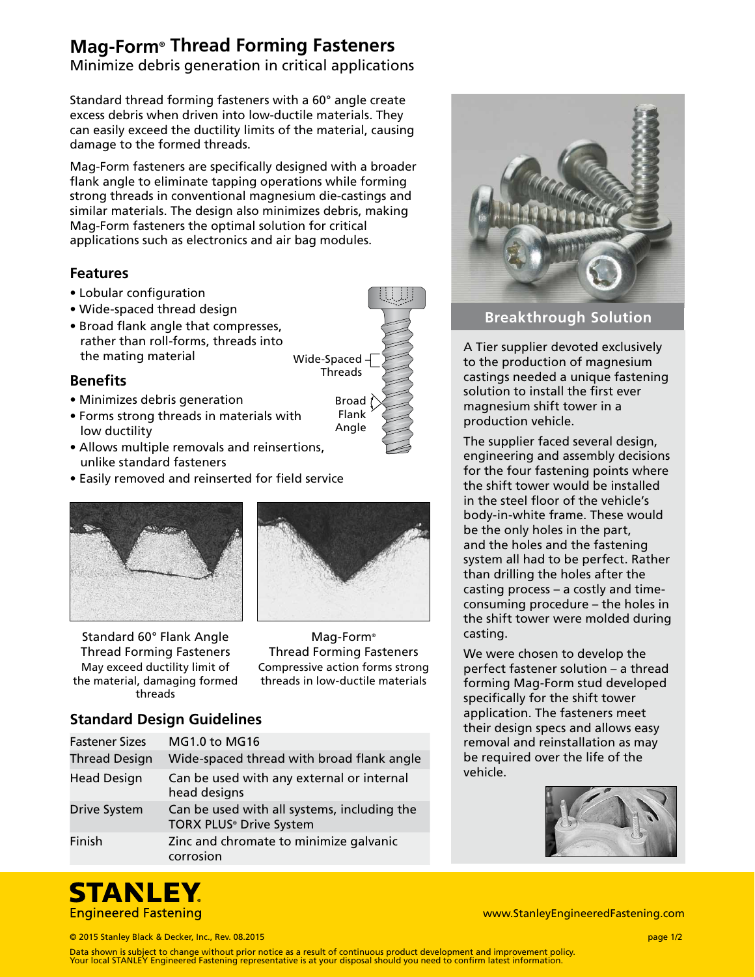# **Mag-Form® Thread Forming Fasteners**

Minimize debris generation in critical applications

Standard thread forming fasteners with a 60° angle create excess debris when driven into low-ductile materials. They can easily exceed the ductility limits of the material, causing damage to the formed threads.

Mag-Form fasteners are specifically designed with a broader flank angle to eliminate tapping operations while forming strong threads in conventional magnesium die-castings and similar materials. The design also minimizes debris, making Mag-Form fasteners the optimal solution for critical applications such as electronics and air bag modules.

### **Features**

- Lobular configuration
- Wide-spaced thread design
- Broad flank angle that compresses, rather than roll-forms, threads into the mating material

### **Benefits**

- Minimizes debris generation
- Forms strong threads in materials with low ductility
- Allows multiple removals and reinsertions, unlike standard fasteners
- Easily removed and reinserted for field service







Wide-Spaced Threads

> Broad Flank Angle

Mag-Form® Thread Forming Fasteners Compressive action forms strong threads in low-ductile materials

# **Standard Design Guidelines**

| <b>Fastener Sizes</b> | <b>MG1.0 to MG16</b>                                                   |  |  |  |
|-----------------------|------------------------------------------------------------------------|--|--|--|
| <b>Thread Design</b>  | Wide-spaced thread with broad flank angle                              |  |  |  |
| <b>Head Design</b>    | Can be used with any external or internal<br>head designs              |  |  |  |
| Drive System          | Can be used with all systems, including the<br>TORX PLUS® Drive System |  |  |  |
| Finish                | Zinc and chromate to minimize galvanic<br>corrosion                    |  |  |  |



## **Breakthrough Solution**

A Tier supplier devoted exclusively to the production of magnesium castings needed a unique fastening solution to install the first ever magnesium shift tower in a production vehicle.

The supplier faced several design, engineering and assembly decisions for the four fastening points where the shift tower would be installed in the steel floor of the vehicle's body-in-white frame. These would be the only holes in the part, and the holes and the fastening system all had to be perfect. Rather than drilling the holes after the casting process – a costly and timeconsuming procedure – the holes in the shift tower were molded during casting.

We were chosen to develop the perfect fastener solution – a thread forming Mag-Form stud developed specifically for the shift tower application. The fasteners meet their design specs and allows easy removal and reinstallation as may be required over the life of the vehicle.





www.StanleyEngineeredFastening.com

© 2015 Stanley Black & Decker, Inc., Rev. 08.2015 page 1/2

Data shown is subject to change without prior notice as a result of continuous product development and improvement policy. Your local STANLEY Engineered Fastening representative is at your disposal should you need to confirm latest information.